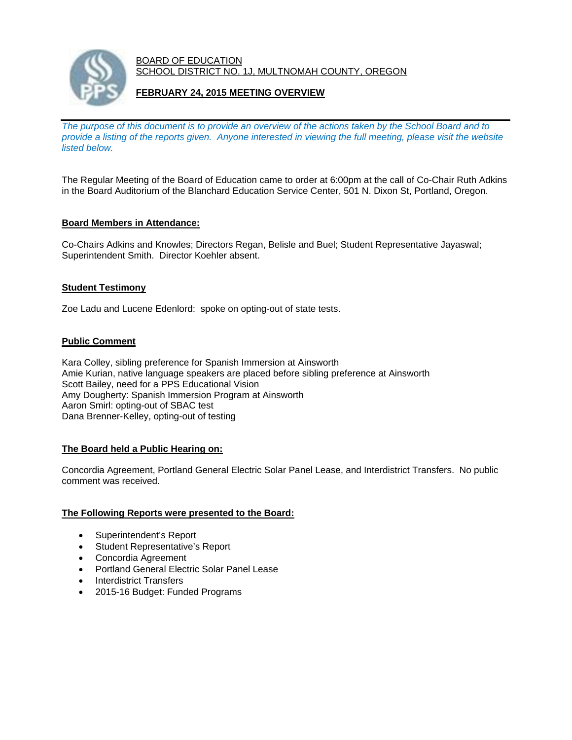

#### BOARD OF EDUCATION SCHOOL DISTRICT NO. 1J, MULTNOMAH COUNTY, OREGON

# **FEBRUARY 24, 2015 MEETING OVERVIEW**

*The purpose of this document is to provide an overview of the actions taken by the School Board and to provide a listing of the reports given. Anyone interested in viewing the full meeting, please visit the website listed below.* 

The Regular Meeting of the Board of Education came to order at 6:00pm at the call of Co-Chair Ruth Adkins in the Board Auditorium of the Blanchard Education Service Center, 501 N. Dixon St, Portland, Oregon.

### **Board Members in Attendance:**

Co-Chairs Adkins and Knowles; Directors Regan, Belisle and Buel; Student Representative Jayaswal; Superintendent Smith. Director Koehler absent.

### **Student Testimony**

Zoe Ladu and Lucene Edenlord: spoke on opting-out of state tests.

### **Public Comment**

Kara Colley, sibling preference for Spanish Immersion at Ainsworth Amie Kurian, native language speakers are placed before sibling preference at Ainsworth Scott Bailey, need for a PPS Educational Vision Amy Dougherty: Spanish Immersion Program at Ainsworth Aaron Smirl: opting-out of SBAC test Dana Brenner-Kelley, opting-out of testing

#### **The Board held a Public Hearing on:**

Concordia Agreement, Portland General Electric Solar Panel Lease, and Interdistrict Transfers. No public comment was received.

#### **The Following Reports were presented to the Board:**

- Superintendent's Report
- Student Representative's Report
- Concordia Agreement
- Portland General Electric Solar Panel Lease
- Interdistrict Transfers
- 2015-16 Budget: Funded Programs